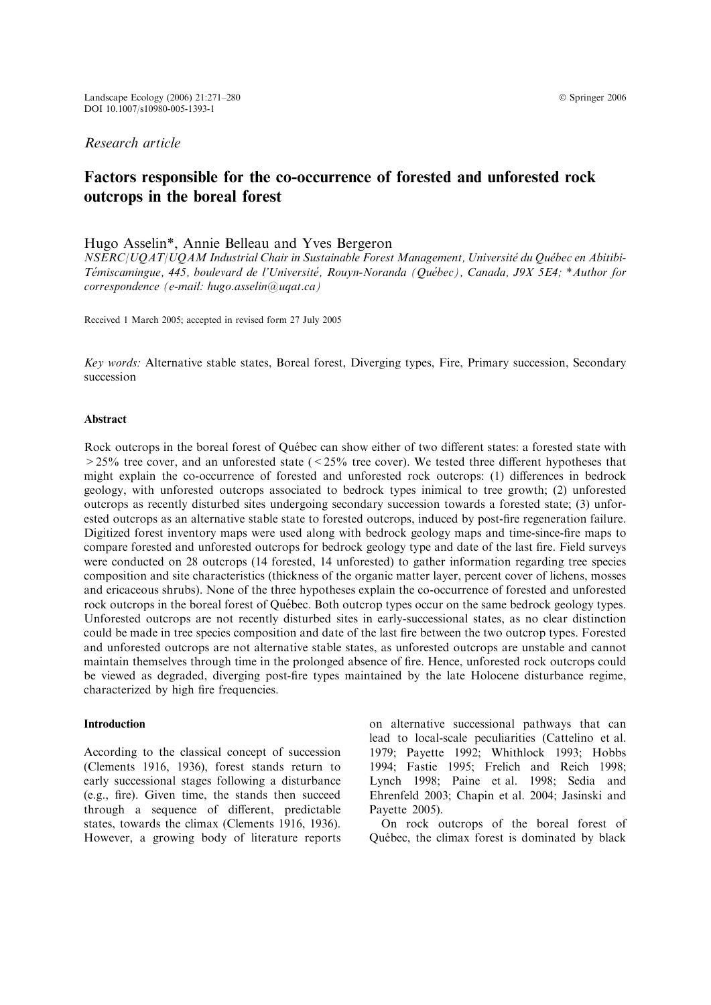# Factors responsible for the co-occurrence of forested and unforested rock outcrops in the boreal forest

# Hugo Asselin\*, Annie Belleau and Yves Bergeron

NSERC/UOAT/UOAM Industrial Chair in Sustainable Forest Management, Université du Québec en Abitibi-Témiscamingue, 445, boulevard de l'Université, Rouyn-Noranda (Québec), Canada, J9X 5E4; \*Author for correspondence (e-mail: hugo.asselin@uqat.ca)

Received 1 March 2005; accepted in revised form 27 July 2005

Key words: Alternative stable states, Boreal forest, Diverging types, Fire, Primary succession, Secondary succession

#### Abstract

Rock outcrops in the boreal forest of Québec can show either of two different states: a forested state with  $>$  25% tree cover, and an unforested state ( $<$  25% tree cover). We tested three different hypotheses that might explain the co-occurrence of forested and unforested rock outcrops: (1) differences in bedrock geology, with unforested outcrops associated to bedrock types inimical to tree growth; (2) unforested outcrops as recently disturbed sites undergoing secondary succession towards a forested state; (3) unforested outcrops as an alternative stable state to forested outcrops, induced by post-fire regeneration failure. Digitized forest inventory maps were used along with bedrock geology maps and time-since-fire maps to compare forested and unforested outcrops for bedrock geology type and date of the last fire. Field surveys were conducted on 28 outcrops (14 forested, 14 unforested) to gather information regarding tree species composition and site characteristics (thickness of the organic matter layer, percent cover of lichens, mosses and ericaceous shrubs). None of the three hypotheses explain the co-occurrence of forested and unforested rock outcrops in the boreal forest of Québec. Both outcrop types occur on the same bedrock geology types. Unforested outcrops are not recently disturbed sites in early-successional states, as no clear distinction could be made in tree species composition and date of the last fire between the two outcrop types. Forested and unforested outcrops are not alternative stable states, as unforested outcrops are unstable and cannot maintain themselves through time in the prolonged absence of fire. Hence, unforested rock outcrops could be viewed as degraded, diverging post-fire types maintained by the late Holocene disturbance regime, characterized by high fire frequencies.

# Introduction

According to the classical concept of succession (Clements 1916, 1936), forest stands return to early successional stages following a disturbance (e.g., fire). Given time, the stands then succeed through a sequence of different, predictable states, towards the climax (Clements 1916, 1936). However, a growing body of literature reports

on alternative successional pathways that can lead to local-scale peculiarities (Cattelino et al. 1979; Payette 1992; Whithlock 1993; Hobbs 1994; Fastie 1995; Frelich and Reich 1998; Lynch 1998; Paine et al. 1998; Sedia and Ehrenfeld 2003; Chapin et al. 2004; Jasinski and Payette 2005).

On rock outcrops of the boreal forest of Québec, the climax forest is dominated by black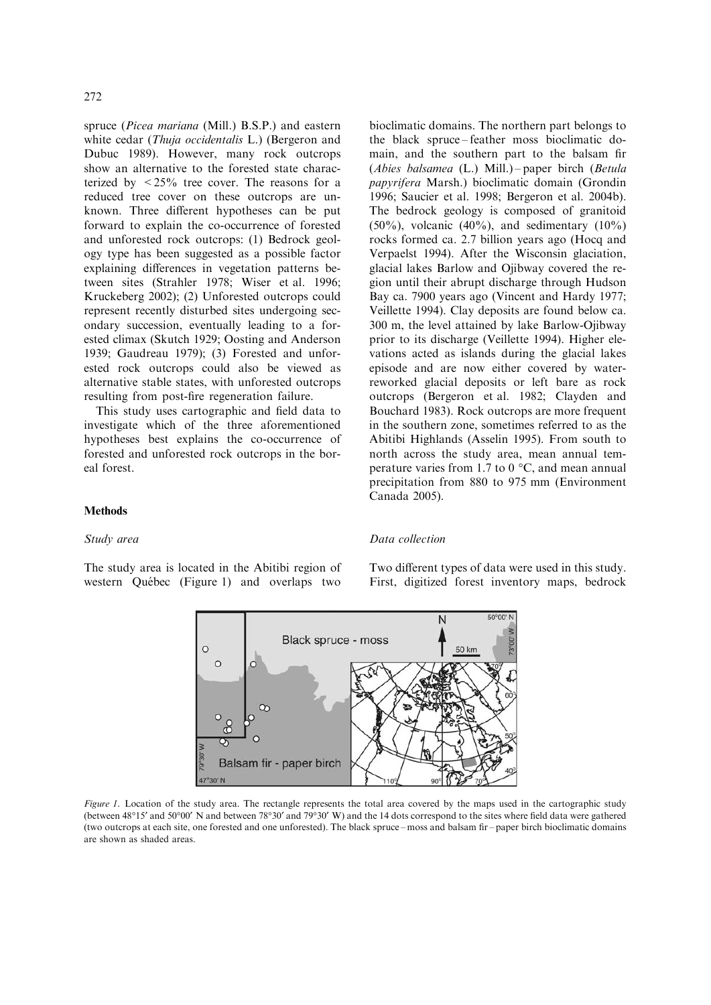spruce (Picea mariana (Mill.) B.S.P.) and eastern white cedar (*Thuja occidentalis* L.) (Bergeron and Dubuc 1989). However, many rock outcrops show an alternative to the forested state characterized by  $\lt 25\%$  tree cover. The reasons for a reduced tree cover on these outcrops are unknown. Three different hypotheses can be put forward to explain the co-occurrence of forested and unforested rock outcrops: (1) Bedrock geology type has been suggested as a possible factor explaining differences in vegetation patterns between sites (Strahler 1978; Wiser et al. 1996; Kruckeberg 2002); (2) Unforested outcrops could represent recently disturbed sites undergoing secondary succession, eventually leading to a forested climax (Skutch 1929; Oosting and Anderson 1939; Gaudreau 1979); (3) Forested and unforested rock outcrops could also be viewed as alternative stable states, with unforested outcrops resulting from post-fire regeneration failure.

This study uses cartographic and field data to investigate which of the three aforementioned hypotheses best explains the co-occurrence of forested and unforested rock outcrops in the boreal forest.

bioclimatic domains. The northern part belongs to the black spruce – feather moss bioclimatic domain, and the southern part to the balsam fir (Abies balsamea (L.) Mill.) – paper birch (Betula papyrifera Marsh.) bioclimatic domain (Grondin 1996; Saucier et al. 1998; Bergeron et al. 2004b). The bedrock geology is composed of granitoid  $(50\%)$ , volcanic  $(40\%)$ , and sedimentary  $(10\%)$ rocks formed ca. 2.7 billion years ago (Hocq and Verpaelst 1994). After the Wisconsin glaciation, glacial lakes Barlow and Ojibway covered the region until their abrupt discharge through Hudson Bay ca. 7900 years ago (Vincent and Hardy 1977; Veillette 1994). Clay deposits are found below ca. 300 m, the level attained by lake Barlow-Ojibway prior to its discharge (Veillette 1994). Higher elevations acted as islands during the glacial lakes episode and are now either covered by waterreworked glacial deposits or left bare as rock outcrops (Bergeron et al. 1982; Clayden and Bouchard 1983). Rock outcrops are more frequent in the southern zone, sometimes referred to as the Abitibi Highlands (Asselin 1995). From south to north across the study area, mean annual temperature varies from 1.7 to 0  $\degree$ C, and mean annual precipitation from 880 to 975 mm (Environment Canada 2005).

## Methods

### Study area

The study area is located in the Abitibi region of western Québec (Figure 1) and overlaps two

### Data collection

Two different types of data were used in this study. First, digitized forest inventory maps, bedrock



Figure 1. Location of the study area. The rectangle represents the total area covered by the maps used in the cartographic study (between 48°15' and 50°00' N and between 78°30' and 79°30' W) and the 14 dots correspond to the sites where field data were gathered (two outcrops at each site, one forested and one unforested). The black spruce – moss and balsam fir – paper birch bioclimatic domains are shown as shaded areas.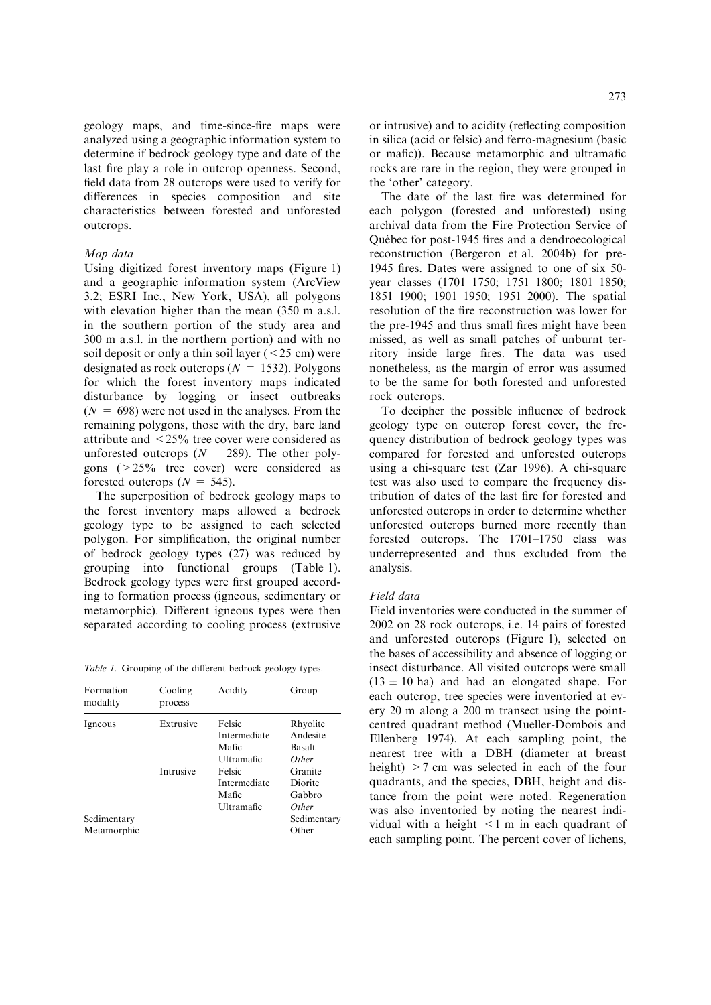geology maps, and time-since-fire maps were analyzed using a geographic information system to determine if bedrock geology type and date of the last fire play a role in outcrop openness. Second, field data from 28 outcrops were used to verify for differences in species composition and site characteristics between forested and unforested outcrops.

# Map data

Using digitized forest inventory maps (Figure 1) and a geographic information system (ArcView 3.2; ESRI Inc., New York, USA), all polygons with elevation higher than the mean (350 m a.s.l.) in the southern portion of the study area and 300 m a.s.l. in the northern portion) and with no soil deposit or only a thin soil layer  $(< 25$  cm) were designated as rock outcrops ( $N = 1532$ ). Polygons for which the forest inventory maps indicated disturbance by logging or insect outbreaks  $(N = 698)$  were not used in the analyses. From the remaining polygons, those with the dry, bare land attribute and <25% tree cover were considered as unforested outcrops  $(N = 289)$ . The other polygons (>25% tree cover) were considered as forested outcrops  $(N = 545)$ .

The superposition of bedrock geology maps to the forest inventory maps allowed a bedrock geology type to be assigned to each selected polygon. For simplification, the original number of bedrock geology types (27) was reduced by grouping into functional groups (Table 1). Bedrock geology types were first grouped according to formation process (igneous, sedimentary or metamorphic). Different igneous types were then separated according to cooling process (extrusive

Table 1. Grouping of the different bedrock geology types.

| Formation<br>modality      | Cooling<br>process | Acidity                                       | Group                                          |
|----------------------------|--------------------|-----------------------------------------------|------------------------------------------------|
| Igneous                    | Extrusive          | Felsic<br>Intermediate<br>Mafic<br>Ultramafic | Rhyolite<br>Andesite<br><b>Basalt</b><br>Other |
|                            | Intrusive          | Felsic<br>Intermediate<br>Mafic<br>Ultramafic | Granite<br>Diorite<br>Gabbro<br><i>Other</i>   |
| Sedimentary<br>Metamorphic |                    |                                               | Sedimentary<br>Other                           |

or intrusive) and to acidity (reflecting composition in silica (acid or felsic) and ferro-magnesium (basic or mafic)). Because metamorphic and ultramafic rocks are rare in the region, they were grouped in the 'other' category.

The date of the last fire was determined for each polygon (forested and unforested) using archival data from the Fire Protection Service of Québec for post-1945 fires and a dendroecological reconstruction (Bergeron et al. 2004b) for pre-1945 fires. Dates were assigned to one of six 50 year classes (1701–1750; 1751–1800; 1801–1850; 1851–1900; 1901–1950; 1951–2000). The spatial resolution of the fire reconstruction was lower for the pre-1945 and thus small fires might have been missed, as well as small patches of unburnt territory inside large fires. The data was used nonetheless, as the margin of error was assumed to be the same for both forested and unforested rock outcrops.

To decipher the possible influence of bedrock geology type on outcrop forest cover, the frequency distribution of bedrock geology types was compared for forested and unforested outcrops using a chi-square test (Zar 1996). A chi-square test was also used to compare the frequency distribution of dates of the last fire for forested and unforested outcrops in order to determine whether unforested outcrops burned more recently than forested outcrops. The 1701–1750 class was underrepresented and thus excluded from the analysis.

# Field data

Field inventories were conducted in the summer of 2002 on 28 rock outcrops, i.e. 14 pairs of forested and unforested outcrops (Figure 1), selected on the bases of accessibility and absence of logging or insect disturbance. All visited outcrops were small  $(13 \pm 10 \text{ ha})$  and had an elongated shape. For each outcrop, tree species were inventoried at every 20 m along a 200 m transect using the pointcentred quadrant method (Mueller-Dombois and Ellenberg 1974). At each sampling point, the nearest tree with a DBH (diameter at breast height) >7 cm was selected in each of the four quadrants, and the species, DBH, height and distance from the point were noted. Regeneration was also inventoried by noting the nearest individual with a height <1 m in each quadrant of each sampling point. The percent cover of lichens,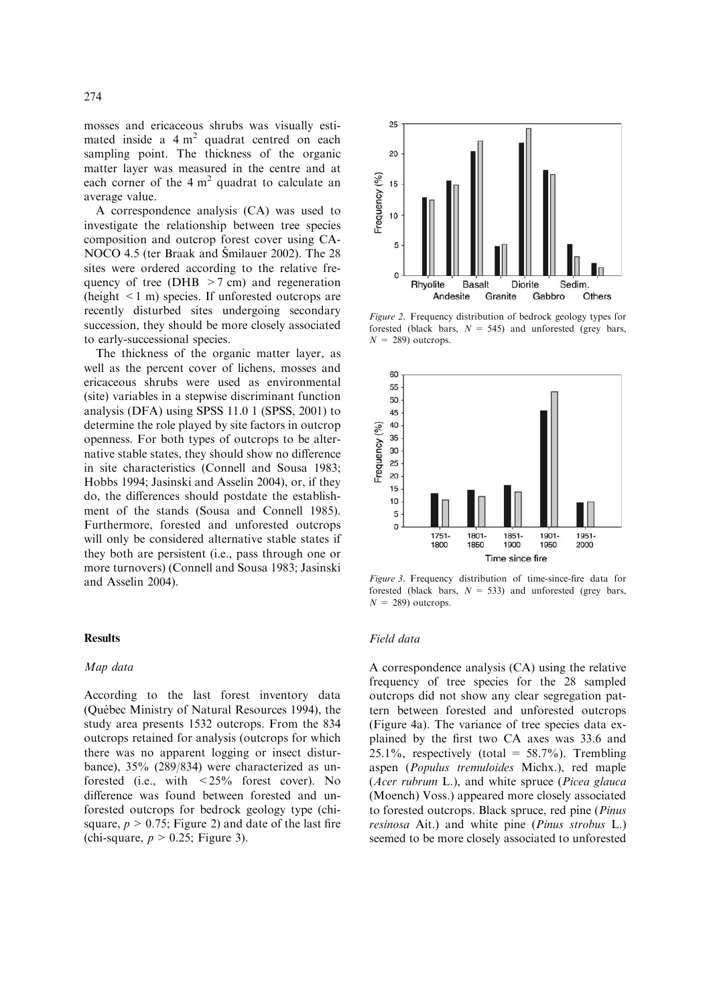mosses and ericaceous shrubs was visually estimated inside a  $4 \text{ m}^2$  quadrat centred on each sampling point. The thickness of the organic matter layer was measured in the centre and at each corner of the  $4 \text{ m}^2$  quadrat to calculate an average value.

A correspondence analysis (CA) was used to investigate the relationship between tree species composition and outcrop forest cover using CA-NOCO 4.5 (ter Braak and Šmilauer 2002). The 28 sites were ordered according to the relative frequency of tree (DHB  $>7$  cm) and regeneration (height <1 m) species. If unforested outcrops are recently disturbed sites undergoing secondary succession, they should be more closely associated to early-successional species.

The thickness of the organic matter layer, as well as the percent cover of lichens, mosses and ericaceous shrubs were used as environmental (site) variables in a stepwise discriminant function analysis (DFA) using SPSS 11.0 1 (SPSS, 2001) to determine the role played by site factors in outcrop openness. For both types of outcrops to be alternative stable states, they should show no difference in site characteristics (Connell and Sousa 1983; Hobbs 1994; Jasinski and Asselin 2004), or, if they do, the differences should postdate the establishment of the stands (Sousa and Connell 1985). Furthermore, forested and unforested outcrops will only be considered alternative stable states if they both are persistent (i.e., pass through one or more turnovers) (Connell and Sousa 1983; Jasinski and Asselin 2004).

#### Results

## Map data

According to the last forest inventory data (Québec Ministry of Natural Resources 1994), the study area presents 1532 outcrops. From the 834 outcrops retained for analysis (outcrops for which there was no apparent logging or insect disturbance), 35% (289/834) were characterized as unforested (i.e., with <25% forest cover). No difference was found between forested and unforested outcrops for bedrock geology type (chisquare,  $p > 0.75$ ; Figure 2) and date of the last fire (chi-square,  $p > 0.25$ ; Figure 3).



Figure 2. Frequency distribution of bedrock geology types for forested (black bars,  $N = 545$ ) and unforested (grey bars,  $N = 289$ ) outcrops.



Figure 3. Frequency distribution of time-since-fire data for forested (black bars,  $N = 533$ ) and unforested (grey bars,  $N = 289$ ) outcrops.

### Field data

A correspondence analysis (CA) using the relative frequency of tree species for the 28 sampled outcrops did not show any clear segregation pattern between forested and unforested outcrops (Figure 4a). The variance of tree species data explained by the first two CA axes was 33.6 and  $25.1\%$ , respectively (total = 58.7%). Trembling aspen (Populus tremuloides Michx.), red maple (Acer rubrum L.), and white spruce (Picea glauca (Moench) Voss.) appeared more closely associated to forested outcrops. Black spruce, red pine (Pinus resinosa Ait.) and white pine (Pinus strobus L.) seemed to be more closely associated to unforested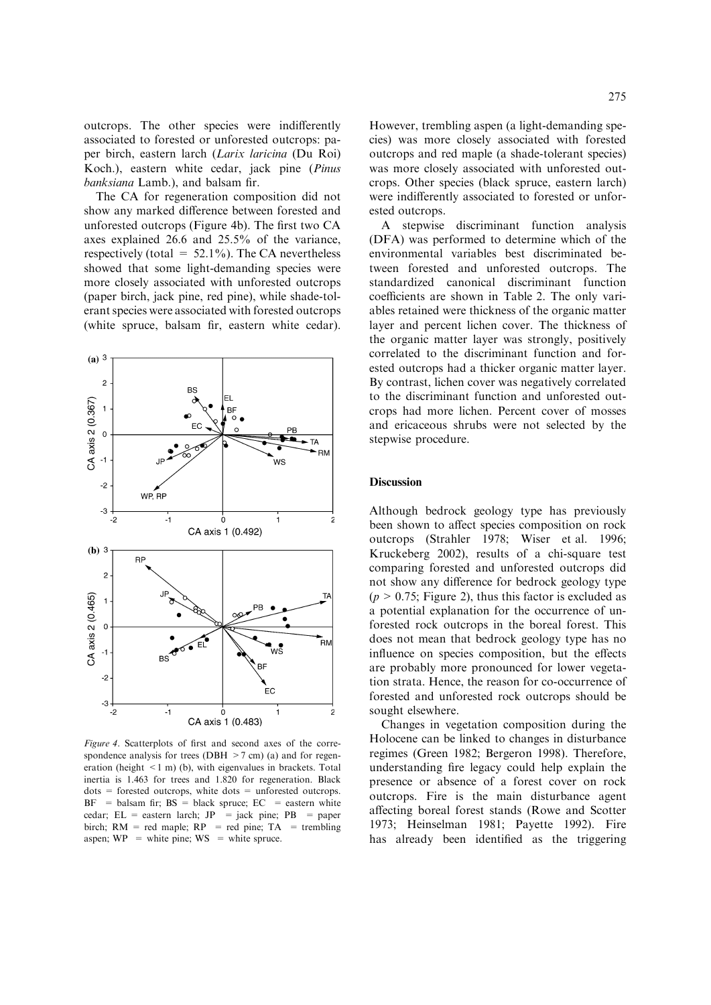outcrops. The other species were indifferently associated to forested or unforested outcrops: paper birch, eastern larch (Larix laricina (Du Roi) Koch.), eastern white cedar, jack pine (Pinus banksiana Lamb.), and balsam fir.

The CA for regeneration composition did not show any marked difference between forested and unforested outcrops (Figure 4b). The first two CA axes explained 26.6 and 25.5% of the variance, respectively (total =  $52.1\%$ ). The CA nevertheless showed that some light-demanding species were more closely associated with unforested outcrops (paper birch, jack pine, red pine), while shade-tolerant species were associated with forested outcrops (white spruce, balsam fir, eastern white cedar).



Figure 4. Scatterplots of first and second axes of the correspondence analysis for trees (DBH  $>7$  cm) (a) and for regeneration (height  $\leq 1$  m) (b), with eigenvalues in brackets. Total inertia is 1.463 for trees and 1.820 for regeneration. Black  $dots =$  forested outcrops, white dots  $=$  unforested outcrops.  $BF$  = balsam fir;  $BS$  = black spruce;  $EC$  = eastern white cedar;  $EL =$  eastern larch;  $JP =$  jack pine;  $PB =$  paper birch;  $RM = red$  maple;  $RP = red$  pine;  $TA = trembling$ aspen;  $WP =$  white pine;  $WS =$  white spruce.

However, trembling aspen (a light-demanding species) was more closely associated with forested outcrops and red maple (a shade-tolerant species) was more closely associated with unforested outcrops. Other species (black spruce, eastern larch) were indifferently associated to forested or unforested outcrops.

A stepwise discriminant function analysis (DFA) was performed to determine which of the environmental variables best discriminated between forested and unforested outcrops. The standardized canonical discriminant function coefficients are shown in Table 2. The only variables retained were thickness of the organic matter layer and percent lichen cover. The thickness of the organic matter layer was strongly, positively correlated to the discriminant function and forested outcrops had a thicker organic matter layer. By contrast, lichen cover was negatively correlated to the discriminant function and unforested outcrops had more lichen. Percent cover of mosses and ericaceous shrubs were not selected by the stepwise procedure.

#### **Discussion**

Although bedrock geology type has previously been shown to affect species composition on rock outcrops (Strahler 1978; Wiser et al. 1996; Kruckeberg 2002), results of a chi-square test comparing forested and unforested outcrops did not show any difference for bedrock geology type  $(p > 0.75$ ; Figure 2), thus this factor is excluded as a potential explanation for the occurrence of unforested rock outcrops in the boreal forest. This does not mean that bedrock geology type has no influence on species composition, but the effects are probably more pronounced for lower vegetation strata. Hence, the reason for co-occurrence of forested and unforested rock outcrops should be sought elsewhere.

Changes in vegetation composition during the Holocene can be linked to changes in disturbance regimes (Green 1982; Bergeron 1998). Therefore, understanding fire legacy could help explain the presence or absence of a forest cover on rock outcrops. Fire is the main disturbance agent affecting boreal forest stands (Rowe and Scotter 1973; Heinselman 1981; Payette 1992). Fire has already been identified as the triggering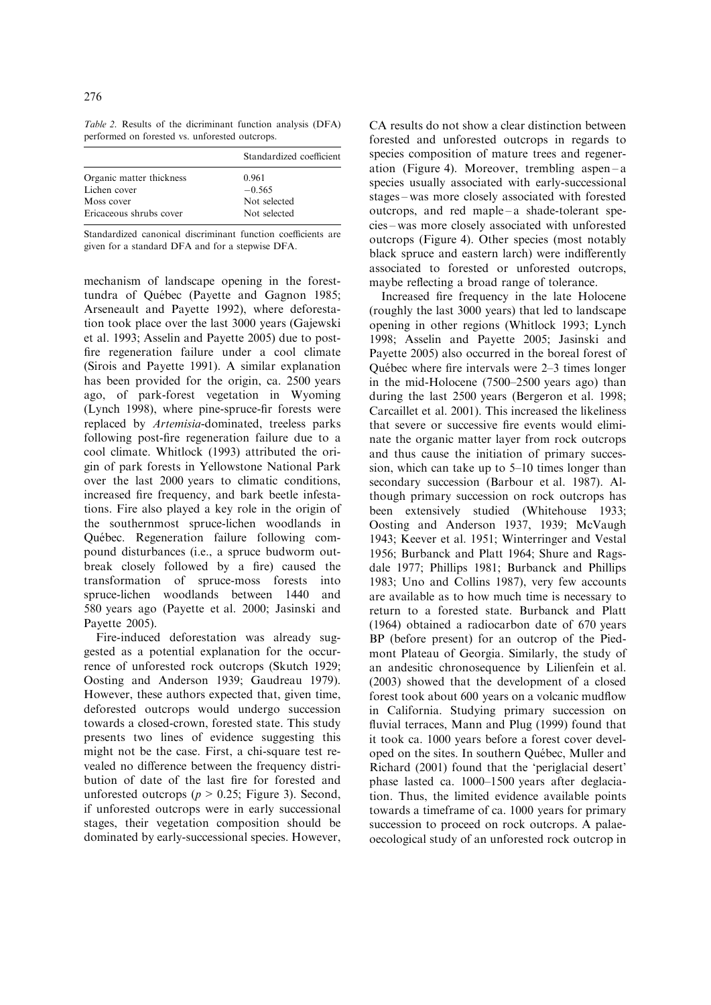Table 2. Results of the dicriminant function analysis (DFA) performed on forested vs. unforested outcrops.

|                          | Standardized coefficient |  |
|--------------------------|--------------------------|--|
| Organic matter thickness | 0.961                    |  |
| Lichen cover             | $-0.565$                 |  |
| Moss cover               | Not selected             |  |
| Ericaceous shrubs cover  | Not selected             |  |
|                          |                          |  |

Standardized canonical discriminant function coefficients are given for a standard DFA and for a stepwise DFA.

mechanism of landscape opening in the foresttundra of Québec (Payette and Gagnon 1985; Arseneault and Payette 1992), where deforestation took place over the last 3000 years (Gajewski et al. 1993; Asselin and Payette 2005) due to postfire regeneration failure under a cool climate (Sirois and Payette 1991). A similar explanation has been provided for the origin, ca. 2500 years ago, of park-forest vegetation in Wyoming (Lynch 1998), where pine-spruce-fir forests were replaced by Artemisia-dominated, treeless parks following post-fire regeneration failure due to a cool climate. Whitlock (1993) attributed the origin of park forests in Yellowstone National Park over the last 2000 years to climatic conditions, increased fire frequency, and bark beetle infestations. Fire also played a key role in the origin of the southernmost spruce-lichen woodlands in Québec. Regeneration failure following compound disturbances (i.e., a spruce budworm outbreak closely followed by a fire) caused the transformation of spruce-moss forests into spruce-lichen woodlands between 1440 and 580 years ago (Payette et al. 2000; Jasinski and Payette 2005).

Fire-induced deforestation was already suggested as a potential explanation for the occurrence of unforested rock outcrops (Skutch 1929; Oosting and Anderson 1939; Gaudreau 1979). However, these authors expected that, given time, deforested outcrops would undergo succession towards a closed-crown, forested state. This study presents two lines of evidence suggesting this might not be the case. First, a chi-square test revealed no difference between the frequency distribution of date of the last fire for forested and unforested outcrops ( $p > 0.25$ ; Figure 3). Second, if unforested outcrops were in early successional stages, their vegetation composition should be dominated by early-successional species. However,

CA results do not show a clear distinction between forested and unforested outcrops in regards to species composition of mature trees and regeneration (Figure 4). Moreover, trembling aspen – a species usually associated with early-successional stages – was more closely associated with forested outcrops, and red maple – a shade-tolerant species – was more closely associated with unforested outcrops (Figure 4). Other species (most notably black spruce and eastern larch) were indifferently associated to forested or unforested outcrops, maybe reflecting a broad range of tolerance.

Increased fire frequency in the late Holocene (roughly the last 3000 years) that led to landscape opening in other regions (Whitlock 1993; Lynch 1998; Asselin and Payette 2005; Jasinski and Payette 2005) also occurred in the boreal forest of Québec where fire intervals were  $2-3$  times longer in the mid-Holocene (7500–2500 years ago) than during the last 2500 years (Bergeron et al. 1998; Carcaillet et al. 2001). This increased the likeliness that severe or successive fire events would eliminate the organic matter layer from rock outcrops and thus cause the initiation of primary succession, which can take up to 5–10 times longer than secondary succession (Barbour et al. 1987). Although primary succession on rock outcrops has been extensively studied (Whitehouse 1933; Oosting and Anderson 1937, 1939; McVaugh 1943; Keever et al. 1951; Winterringer and Vestal 1956; Burbanck and Platt 1964; Shure and Ragsdale 1977; Phillips 1981; Burbanck and Phillips 1983; Uno and Collins 1987), very few accounts are available as to how much time is necessary to return to a forested state. Burbanck and Platt (1964) obtained a radiocarbon date of 670 years BP (before present) for an outcrop of the Piedmont Plateau of Georgia. Similarly, the study of an andesitic chronosequence by Lilienfein et al. (2003) showed that the development of a closed forest took about 600 years on a volcanic mudflow in California. Studying primary succession on fluvial terraces, Mann and Plug (1999) found that it took ca. 1000 years before a forest cover developed on the sites. In southern Québec, Muller and Richard (2001) found that the 'periglacial desert' phase lasted ca. 1000–1500 years after deglaciation. Thus, the limited evidence available points towards a timeframe of ca. 1000 years for primary succession to proceed on rock outcrops. A palaeoecological study of an unforested rock outcrop in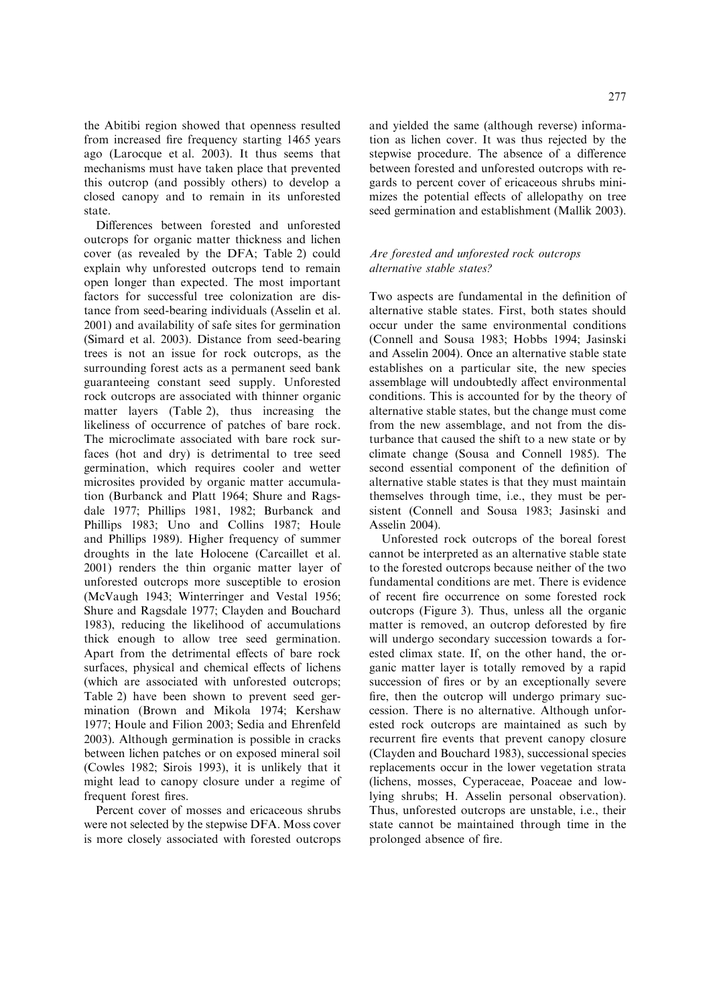the Abitibi region showed that openness resulted from increased fire frequency starting 1465 years ago (Larocque et al. 2003). It thus seems that mechanisms must have taken place that prevented this outcrop (and possibly others) to develop a closed canopy and to remain in its unforested state.

Differences between forested and unforested outcrops for organic matter thickness and lichen cover (as revealed by the DFA; Table 2) could explain why unforested outcrops tend to remain open longer than expected. The most important factors for successful tree colonization are distance from seed-bearing individuals (Asselin et al. 2001) and availability of safe sites for germination (Simard et al. 2003). Distance from seed-bearing trees is not an issue for rock outcrops, as the surrounding forest acts as a permanent seed bank guaranteeing constant seed supply. Unforested rock outcrops are associated with thinner organic matter layers (Table 2), thus increasing the likeliness of occurrence of patches of bare rock. The microclimate associated with bare rock surfaces (hot and dry) is detrimental to tree seed germination, which requires cooler and wetter microsites provided by organic matter accumulation (Burbanck and Platt 1964; Shure and Ragsdale 1977; Phillips 1981, 1982; Burbanck and Phillips 1983; Uno and Collins 1987; Houle and Phillips 1989). Higher frequency of summer droughts in the late Holocene (Carcaillet et al. 2001) renders the thin organic matter layer of unforested outcrops more susceptible to erosion (McVaugh 1943; Winterringer and Vestal 1956; Shure and Ragsdale 1977; Clayden and Bouchard 1983), reducing the likelihood of accumulations thick enough to allow tree seed germination. Apart from the detrimental effects of bare rock surfaces, physical and chemical effects of lichens (which are associated with unforested outcrops; Table 2) have been shown to prevent seed germination (Brown and Mikola 1974; Kershaw 1977; Houle and Filion 2003; Sedia and Ehrenfeld 2003). Although germination is possible in cracks between lichen patches or on exposed mineral soil (Cowles 1982; Sirois 1993), it is unlikely that it might lead to canopy closure under a regime of frequent forest fires.

Percent cover of mosses and ericaceous shrubs were not selected by the stepwise DFA. Moss cover is more closely associated with forested outcrops and yielded the same (although reverse) information as lichen cover. It was thus rejected by the stepwise procedure. The absence of a difference between forested and unforested outcrops with regards to percent cover of ericaceous shrubs minimizes the potential effects of allelopathy on tree seed germination and establishment (Mallik 2003).

# Are forested and unforested rock outcrops alternative stable states?

Two aspects are fundamental in the definition of alternative stable states. First, both states should occur under the same environmental conditions (Connell and Sousa 1983; Hobbs 1994; Jasinski and Asselin 2004). Once an alternative stable state establishes on a particular site, the new species assemblage will undoubtedly affect environmental conditions. This is accounted for by the theory of alternative stable states, but the change must come from the new assemblage, and not from the disturbance that caused the shift to a new state or by climate change (Sousa and Connell 1985). The second essential component of the definition of alternative stable states is that they must maintain themselves through time, i.e., they must be persistent (Connell and Sousa 1983; Jasinski and Asselin 2004).

Unforested rock outcrops of the boreal forest cannot be interpreted as an alternative stable state to the forested outcrops because neither of the two fundamental conditions are met. There is evidence of recent fire occurrence on some forested rock outcrops (Figure 3). Thus, unless all the organic matter is removed, an outcrop deforested by fire will undergo secondary succession towards a forested climax state. If, on the other hand, the organic matter layer is totally removed by a rapid succession of fires or by an exceptionally severe fire, then the outcrop will undergo primary succession. There is no alternative. Although unforested rock outcrops are maintained as such by recurrent fire events that prevent canopy closure (Clayden and Bouchard 1983), successional species replacements occur in the lower vegetation strata (lichens, mosses, Cyperaceae, Poaceae and lowlying shrubs; H. Asselin personal observation). Thus, unforested outcrops are unstable, i.e., their state cannot be maintained through time in the prolonged absence of fire.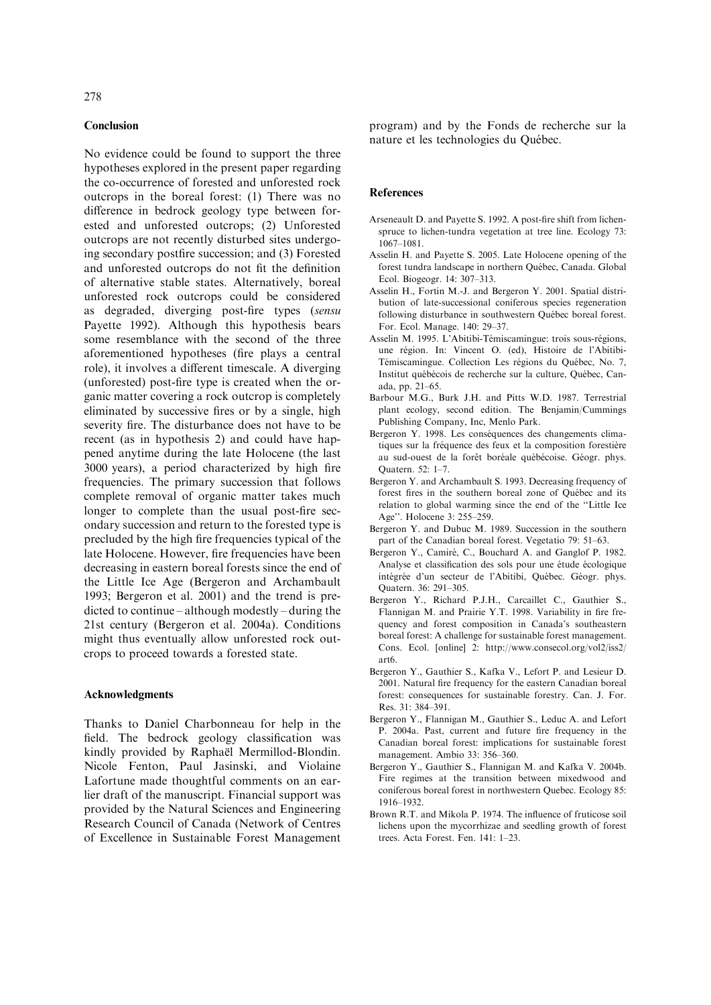#### Conclusion

No evidence could be found to support the three hypotheses explored in the present paper regarding the co-occurrence of forested and unforested rock outcrops in the boreal forest: (1) There was no difference in bedrock geology type between forested and unforested outcrops; (2) Unforested outcrops are not recently disturbed sites undergoing secondary postfire succession; and (3) Forested and unforested outcrops do not fit the definition of alternative stable states. Alternatively, boreal unforested rock outcrops could be considered as degraded, diverging post-fire types (sensu Payette 1992). Although this hypothesis bears some resemblance with the second of the three aforementioned hypotheses (fire plays a central role), it involves a different timescale. A diverging (unforested) post-fire type is created when the organic matter covering a rock outcrop is completely eliminated by successive fires or by a single, high severity fire. The disturbance does not have to be recent (as in hypothesis 2) and could have happened anytime during the late Holocene (the last 3000 years), a period characterized by high fire frequencies. The primary succession that follows complete removal of organic matter takes much longer to complete than the usual post-fire secondary succession and return to the forested type is precluded by the high fire frequencies typical of the late Holocene. However, fire frequencies have been decreasing in eastern boreal forests since the end of the Little Ice Age (Bergeron and Archambault 1993; Bergeron et al. 2001) and the trend is predicted to continue – although modestly – during the 21st century (Bergeron et al. 2004a). Conditions might thus eventually allow unforested rock outcrops to proceed towards a forested state.

# Acknowledgments

Thanks to Daniel Charbonneau for help in the field. The bedrock geology classification was kindly provided by Raphaël Mermillod-Blondin. Nicole Fenton, Paul Jasinski, and Violaine Lafortune made thoughtful comments on an earlier draft of the manuscript. Financial support was provided by the Natural Sciences and Engineering Research Council of Canada (Network of Centres of Excellence in Sustainable Forest Management program) and by the Fonds de recherche sur la nature et les technologies du Québec.

#### **References**

- Arseneault D. and Payette S. 1992. A post-fire shift from lichenspruce to lichen-tundra vegetation at tree line. Ecology 73: 1067–1081.
- Asselin H. and Payette S. 2005. Late Holocene opening of the forest tundra landscape in northern Québec, Canada. Global Ecol. Biogeogr. 14: 307–313.
- Asselin H., Fortin M.-J. and Bergeron Y. 2001. Spatial distribution of late-successional coniferous species regeneration following disturbance in southwestern Québec boreal forest. For. Ecol. Manage. 140: 29–37.
- Asselin M. 1995. L'Abitibi-Témiscamingue: trois sous-régions, une région. In: Vincent O. (ed), Histoire de l'Abitibi-Témiscamingue. Collection Les régions du Québec, No. 7, Institut québécois de recherche sur la culture, Québec, Canada, pp. 21–65.
- Barbour M.G., Burk J.H. and Pitts W.D. 1987. Terrestrial plant ecology, second edition. The Benjamin/Cummings Publishing Company, Inc, Menlo Park.
- Bergeron Y. 1998. Les conséquences des changements climatiques sur la fréquence des feux et la composition forestière au sud-ouest de la forêt boréale québécoise. Géogr. phys. Quatern. 52: 1–7.
- Bergeron Y. and Archambault S. 1993. Decreasing frequency of forest fires in the southern boreal zone of Québec and its relation to global warming since the end of the ''Little Ice Age''. Holocene 3: 255–259.
- Bergeron Y. and Dubuc M. 1989. Succession in the southern part of the Canadian boreal forest. Vegetatio 79: 51–63.
- Bergeron Y., Camiré, C., Bouchard A. and Ganglof P. 1982. Analyse et classification des sols pour une étude écologique intégrée d'un secteur de l'Abitibi, Québec. Géogr. phys. Quatern. 36: 291–305.
- Bergeron Y., Richard P.J.H., Carcaillet C., Gauthier S., Flannigan M. and Prairie Y.T. 1998. Variability in fire frequency and forest composition in Canada's southeastern boreal forest: A challenge for sustainable forest management. Cons. Ecol. [online] 2: http://www.consecol.org/vol2/iss2/ art6.
- Bergeron Y., Gauthier S., Kafka V., Lefort P. and Lesieur D. 2001. Natural fire frequency for the eastern Canadian boreal forest: consequences for sustainable forestry. Can. J. For. Res. 31: 384–391.
- Bergeron Y., Flannigan M., Gauthier S., Leduc A. and Lefort P. 2004a. Past, current and future fire frequency in the Canadian boreal forest: implications for sustainable forest management. Ambio 33: 356–360.
- Bergeron Y., Gauthier S., Flannigan M. and Kafka V. 2004b. Fire regimes at the transition between mixedwood and coniferous boreal forest in northwestern Quebec. Ecology 85: 1916–1932.
- Brown R.T. and Mikola P. 1974. The influence of fruticose soil lichens upon the mycorrhizae and seedling growth of forest trees. Acta Forest. Fen. 141: 1–23.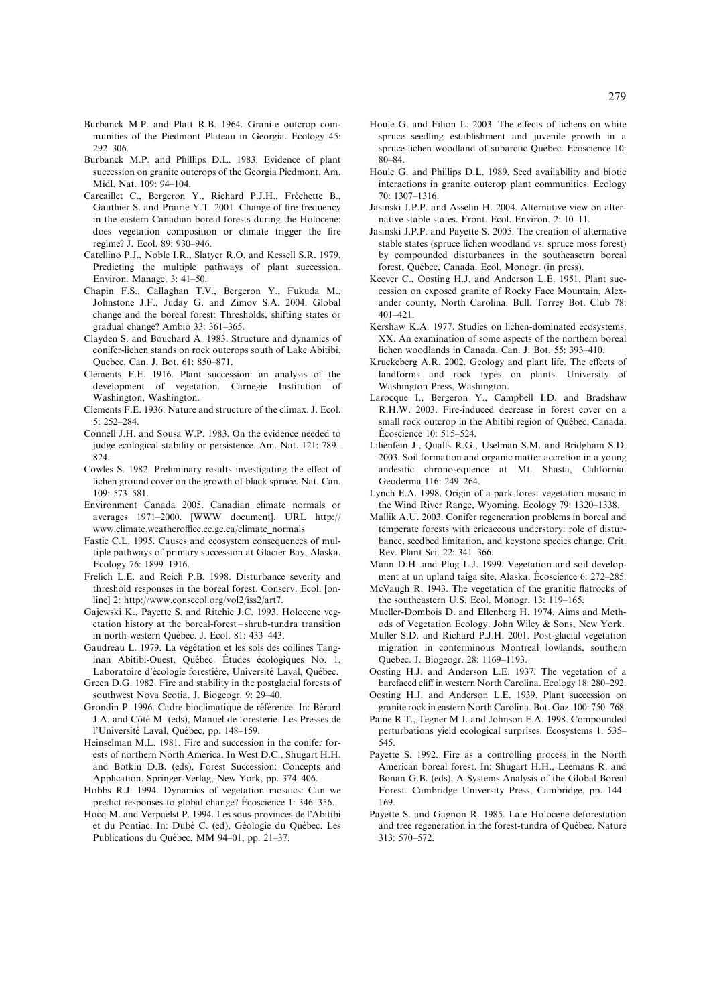- Burbanck M.P. and Platt R.B. 1964. Granite outcrop communities of the Piedmont Plateau in Georgia. Ecology 45: 292–306.
- Burbanck M.P. and Phillips D.L. 1983. Evidence of plant succession on granite outcrops of the Georgia Piedmont. Am. Midl. Nat. 109: 94–104.
- Carcaillet C., Bergeron Y., Richard P.J.H., Fréchette B., Gauthier S. and Prairie Y.T. 2001. Change of fire frequency in the eastern Canadian boreal forests during the Holocene: does vegetation composition or climate trigger the fire regime? J. Ecol. 89: 930–946.
- Catellino P.J., Noble I.R., Slatyer R.O. and Kessell S.R. 1979. Predicting the multiple pathways of plant succession. Environ. Manage. 3: 41–50.
- Chapin F.S., Callaghan T.V., Bergeron Y., Fukuda M., Johnstone J.F., Juday G. and Zimov S.A. 2004. Global change and the boreal forest: Thresholds, shifting states or gradual change? Ambio 33: 361–365.
- Clayden S. and Bouchard A. 1983. Structure and dynamics of conifer-lichen stands on rock outcrops south of Lake Abitibi, Quebec. Can. J. Bot. 61: 850–871.
- Clements F.E. 1916. Plant succession: an analysis of the development of vegetation. Carnegie Institution of Washington, Washington.
- Clements F.E. 1936. Nature and structure of the climax. J. Ecol. 5: 252–284.
- Connell J.H. and Sousa W.P. 1983. On the evidence needed to judge ecological stability or persistence. Am. Nat. 121: 789– 824.
- Cowles S. 1982. Preliminary results investigating the effect of lichen ground cover on the growth of black spruce. Nat. Can. 109: 573–581.
- Environment Canada 2005. Canadian climate normals or averages 1971–2000. [WWW document]. URL http:// www.climate.weatheroffice.ec.gc.ca/climate\_normals
- Fastie C.L. 1995. Causes and ecosystem consequences of multiple pathways of primary succession at Glacier Bay, Alaska. Ecology 76: 1899–1916.
- Frelich L.E. and Reich P.B. 1998. Disturbance severity and threshold responses in the boreal forest. Conserv. Ecol. [online] 2: http://www.consecol.org/vol2/iss2/art7.
- Gajewski K., Payette S. and Ritchie J.C. 1993. Holocene vegetation history at the boreal-forest – shrub-tundra transition in north-western Québec. J. Ecol. 81: 433-443.
- Gaudreau L. 1979. La végétation et les sols des collines Tanginan Abitibi-Ouest, Québec. Études écologiques No. 1, Laboratoire d'écologie forestière, Université Laval, Québec.
- Green D.G. 1982. Fire and stability in the postglacial forests of southwest Nova Scotia. J. Biogeogr. 9: 29–40.
- Grondin P. 1996. Cadre bioclimatique de référence. In: Bérard J.A. and Côté M. (eds), Manuel de foresterie. Les Presses de l'Université Laval, Québec, pp. 148-159.
- Heinselman M.L. 1981. Fire and succession in the conifer forests of northern North America. In West D.C., Shugart H.H. and Botkin D.B. (eds), Forest Succession: Concepts and Application. Springer-Verlag, New York, pp. 374–406.
- Hobbs R.J. 1994. Dynamics of vegetation mosaics: Can we predict responses to global change? Ecoscience 1: 346–356.
- Hocq M. and Verpaelst P. 1994. Les sous-provinces de l'Abitibi et du Pontiac. In: Dubé C. (ed), Géologie du Québec. Les Publications du Québec, MM 94–01, pp. 21–37.
- Houle G. and Filion L. 2003. The effects of lichens on white spruce seedling establishment and juvenile growth in a spruce-lichen woodland of subarctic Ouébec. Écoscience 10: 80–84.
- Houle G. and Phillips D.L. 1989. Seed availability and biotic interactions in granite outcrop plant communities. Ecology 70: 1307–1316.
- Jasinski J.P.P. and Asselin H. 2004. Alternative view on alternative stable states. Front. Ecol. Environ. 2: 10–11.
- Jasinski J.P.P. and Payette S. 2005. The creation of alternative stable states (spruce lichen woodland vs. spruce moss forest) by compounded disturbances in the southeasetrn boreal forest, Québec, Canada. Ecol. Monogr. (in press).
- Keever C., Oosting H.J. and Anderson L.E. 1951. Plant succession on exposed granite of Rocky Face Mountain, Alexander county, North Carolina. Bull. Torrey Bot. Club 78: 401–421.
- Kershaw K.A. 1977. Studies on lichen-dominated ecosystems. XX. An examination of some aspects of the northern boreal lichen woodlands in Canada. Can. J. Bot. 55: 393–410.
- Kruckeberg A.R. 2002. Geology and plant life. The effects of landforms and rock types on plants. University of Washington Press, Washington.
- Larocque I., Bergeron Y., Campbell I.D. and Bradshaw R.H.W. 2003. Fire-induced decrease in forest cover on a small rock outcrop in the Abitibi region of Québec, Canada. Ecoscience 10: 515–524.
- Lilienfein J., Qualls R.G., Uselman S.M. and Bridgham S.D. 2003. Soil formation and organic matter accretion in a young andesitic chronosequence at Mt. Shasta, California. Geoderma 116: 249–264.
- Lynch E.A. 1998. Origin of a park-forest vegetation mosaic in the Wind River Range, Wyoming. Ecology 79: 1320–1338.
- Mallik A.U. 2003. Conifer regeneration problems in boreal and temperate forests with ericaceous understory: role of disturbance, seedbed limitation, and keystone species change. Crit. Rev. Plant Sci. 22: 341–366.
- Mann D.H. and Plug L.J. 1999. Vegetation and soil development at un upland taiga site, Alaska. É $\alpha$  coscience 6: 272–285.
- McVaugh R. 1943. The vegetation of the granitic flatrocks of the southeastern U.S. Ecol. Monogr. 13: 119–165.
- Mueller-Dombois D. and Ellenberg H. 1974. Aims and Methods of Vegetation Ecology. John Wiley & Sons, New York.
- Muller S.D. and Richard P.J.H. 2001. Post-glacial vegetation migration in conterminous Montreal lowlands, southern Quebec. J. Biogeogr. 28: 1169–1193.
- Oosting H.J. and Anderson L.E. 1937. The vegetation of a barefaced cliff in western North Carolina. Ecology 18: 280–292.
- Oosting H.J. and Anderson L.E. 1939. Plant succession on granite rock in eastern North Carolina. Bot. Gaz. 100: 750–768.
- Paine R.T., Tegner M.J. and Johnson E.A. 1998. Compounded perturbations yield ecological surprises. Ecosystems 1: 535– 545.
- Payette S. 1992. Fire as a controlling process in the North American boreal forest. In: Shugart H.H., Leemans R. and Bonan G.B. (eds), A Systems Analysis of the Global Boreal Forest. Cambridge University Press, Cambridge, pp. 144– 169.
- Payette S. and Gagnon R. 1985. Late Holocene deforestation and tree regeneration in the forest-tundra of Québec. Nature 313: 570–572.